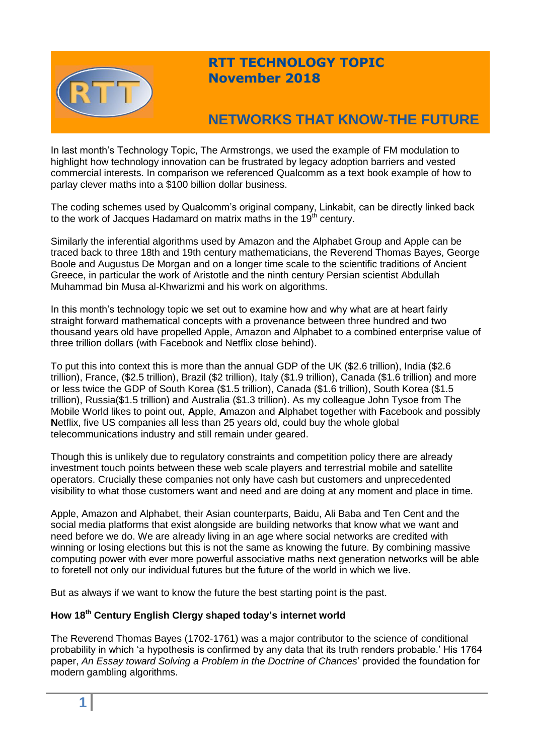

## **RTT TECHNOLOGY TOPIC November 2018**

# **NETWORKS THAT KNOW-THE FUTURE**

In last month's Technology Topic, The Armstrongs, we used the example of FM modulation to highlight how technology innovation can be frustrated by legacy adoption barriers and vested commercial interests. In comparison we referenced Qualcomm as a text book example of how to parlay clever maths into a \$100 billion dollar business.

The coding schemes used by Qualcomm's original company, Linkabit, can be directly linked back to the work of Jacques Hadamard on matrix maths in the 19<sup>th</sup> century.

Similarly the inferential algorithms used by Amazon and the Alphabet Group and Apple can be traced back to three 18th and 19th century mathematicians, the Reverend Thomas Bayes, George Boole and Augustus De Morgan and on a longer time scale to the scientific traditions of Ancient Greece, in particular the work of Aristotle and the ninth century Persian scientist Abdullah Muhammad bin Musa al-Khwarizmi and his work on algorithms.

In this month's technology topic we set out to examine how and why what are at heart fairly straight forward mathematical concepts with a provenance between three hundred and two thousand years old have propelled Apple, Amazon and Alphabet to a combined enterprise value of three trillion dollars (with Facebook and Netflix close behind).

To put this into context this is more than the annual GDP of the UK (\$2.6 trillion), India (\$2.6 trillion), France, (\$2.5 trillion), Brazil (\$2 trillion), Italy (\$1.9 trillion), Canada (\$1.6 trillion) and more or less twice the GDP of South Korea (\$1.5 trillion), Canada (\$1.6 trillion), South Korea (\$1.5 trillion), Russia(\$1.5 trillion) and Australia (\$1.3 trillion). As my colleague John Tysoe from The Mobile World likes to point out, **A**pple, **A**mazon and **A**lphabet together with **F**acebook and possibly **N**etflix, five US companies all less than 25 years old, could buy the whole global telecommunications industry and still remain under geared.

Though this is unlikely due to regulatory constraints and competition policy there are already investment touch points between these web scale players and terrestrial mobile and satellite operators. Crucially these companies not only have cash but customers and unprecedented visibility to what those customers want and need and are doing at any moment and place in time.

Apple, Amazon and Alphabet, their Asian counterparts, Baidu, Ali Baba and Ten Cent and the social media platforms that exist alongside are building networks that know what we want and need before we do. We are already living in an age where social networks are credited with winning or losing elections but this is not the same as knowing the future. By combining massive computing power with ever more powerful associative maths next generation networks will be able to foretell not only our individual futures but the future of the world in which we live.

But as always if we want to know the future the best starting point is the past.

## **How 18th Century English Clergy shaped today's internet world**

The Reverend Thomas Bayes (1702-1761) was a major contributor to the science of conditional probability in which 'a hypothesis is confirmed by any data that its truth renders probable.' His 1764 paper, *An Essay toward Solving a Problem in the Doctrine of Chances*' provided the foundation for modern gambling algorithms.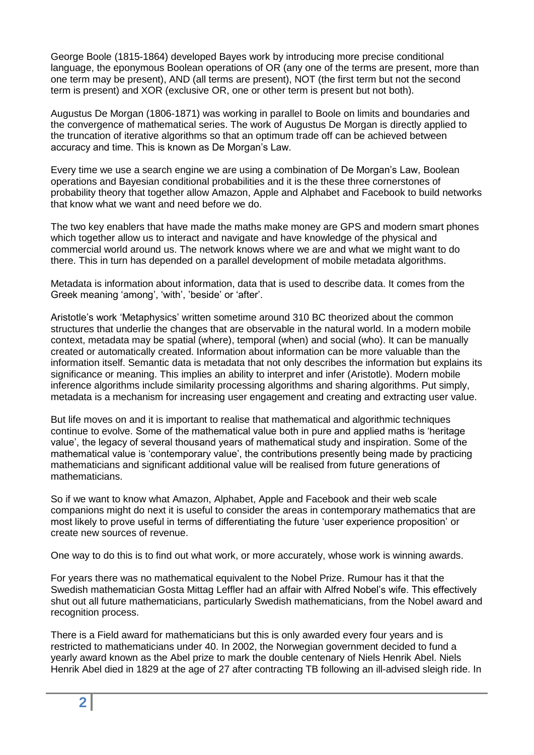George Boole (1815-1864) developed Bayes work by introducing more precise conditional language, the eponymous Boolean operations of OR (any one of the terms are present, more than one term may be present), AND (all terms are present), NOT (the first term but not the second term is present) and XOR (exclusive OR, one or other term is present but not both).

Augustus De Morgan (1806-1871) was working in parallel to Boole on limits and boundaries and the convergence of mathematical series. The work of Augustus De Morgan is directly applied to the truncation of iterative algorithms so that an optimum trade off can be achieved between accuracy and time. This is known as De Morgan's Law.

Every time we use a search engine we are using a combination of De Morgan's Law, Boolean operations and Bayesian conditional probabilities and it is the these three cornerstones of probability theory that together allow Amazon, Apple and Alphabet and Facebook to build networks that know what we want and need before we do.

The two key enablers that have made the maths make money are GPS and modern smart phones which together allow us to interact and navigate and have knowledge of the physical and commercial world around us. The network knows where we are and what we might want to do there. This in turn has depended on a parallel development of mobile metadata algorithms.

Metadata is information about information, data that is used to describe data. It comes from the Greek meaning 'among', 'with', 'beside' or 'after'.

Aristotle's work 'Metaphysics' written sometime around 310 BC theorized about the common structures that underlie the changes that are observable in the natural world. In a modern mobile context, metadata may be spatial (where), temporal (when) and social (who). It can be manually created or automatically created. Information about information can be more valuable than the information itself. Semantic data is metadata that not only describes the information but explains its significance or meaning. This implies an ability to interpret and infer (Aristotle). Modern mobile inference algorithms include similarity processing algorithms and sharing algorithms. Put simply, metadata is a mechanism for increasing user engagement and creating and extracting user value.

But life moves on and it is important to realise that mathematical and algorithmic techniques continue to evolve. Some of the mathematical value both in pure and applied maths is 'heritage value', the legacy of several thousand years of mathematical study and inspiration. Some of the mathematical value is 'contemporary value', the contributions presently being made by practicing mathematicians and significant additional value will be realised from future generations of mathematicians.

So if we want to know what Amazon, Alphabet, Apple and Facebook and their web scale companions might do next it is useful to consider the areas in contemporary mathematics that are most likely to prove useful in terms of differentiating the future 'user experience proposition' or create new sources of revenue.

One way to do this is to find out what work, or more accurately, whose work is winning awards.

For years there was no mathematical equivalent to the Nobel Prize. Rumour has it that the Swedish mathematician Gosta Mittag Leffler had an affair with Alfred Nobel's wife. This effectively shut out all future mathematicians, particularly Swedish mathematicians, from the Nobel award and recognition process.

There is a Field award for mathematicians but this is only awarded every four years and is restricted to mathematicians under 40. In 2002, the Norwegian government decided to fund a yearly award known as the Abel prize to mark the double centenary of Niels Henrik Abel. Niels Henrik Abel died in 1829 at the age of 27 after contracting TB following an ill-advised sleigh ride. In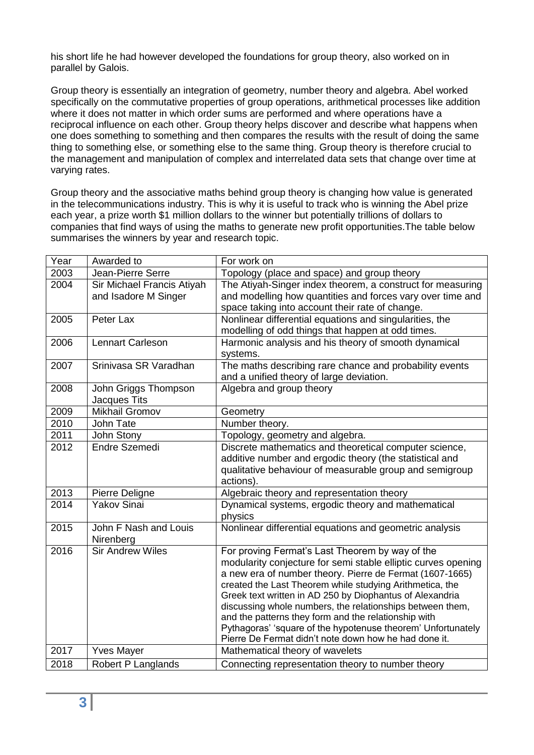his short life he had however developed the foundations for group theory, also worked on in parallel by Galois.

Group theory is essentially an integration of geometry, number theory and algebra. Abel worked specifically on the commutative properties of group operations, arithmetical processes like addition where it does not matter in which order sums are performed and where operations have a reciprocal influence on each other. Group theory helps discover and describe what happens when one does something to something and then compares the results with the result of doing the same thing to something else, or something else to the same thing. Group theory is therefore crucial to the management and manipulation of complex and interrelated data sets that change over time at varying rates.

Group theory and the associative maths behind group theory is changing how value is generated in the telecommunications industry. This is why it is useful to track who is winning the Abel prize each year, a prize worth \$1 million dollars to the winner but potentially trillions of dollars to companies that find ways of using the maths to generate new profit opportunities.The table below summarises the winners by year and research topic.

| Year | Awarded to                 | For work on                                                                                                          |
|------|----------------------------|----------------------------------------------------------------------------------------------------------------------|
| 2003 | Jean-Pierre Serre          | Topology (place and space) and group theory                                                                          |
| 2004 | Sir Michael Francis Atiyah | The Atiyah-Singer index theorem, a construct for measuring                                                           |
|      | and Isadore M Singer       | and modelling how quantities and forces vary over time and                                                           |
|      |                            | space taking into account their rate of change.                                                                      |
| 2005 | Peter Lax                  | Nonlinear differential equations and singularities, the                                                              |
|      |                            | modelling of odd things that happen at odd times.                                                                    |
| 2006 | <b>Lennart Carleson</b>    | Harmonic analysis and his theory of smooth dynamical<br>systems.                                                     |
| 2007 | Srinivasa SR Varadhan      | The maths describing rare chance and probability events                                                              |
|      |                            | and a unified theory of large deviation.                                                                             |
| 2008 | John Griggs Thompson       | Algebra and group theory                                                                                             |
|      | Jacques Tits               |                                                                                                                      |
| 2009 | <b>Mikhail Gromov</b>      | Geometry                                                                                                             |
| 2010 | John Tate                  | Number theory.                                                                                                       |
| 2011 | John Stony                 | Topology, geometry and algebra.                                                                                      |
| 2012 | Endre Szemedi              | Discrete mathematics and theoretical computer science,                                                               |
|      |                            | additive number and ergodic theory (the statistical and                                                              |
|      |                            | qualitative behaviour of measurable group and semigroup                                                              |
|      |                            | actions).                                                                                                            |
| 2013 | Pierre Deligne             | Algebraic theory and representation theory                                                                           |
| 2014 | <b>Yakov Sinai</b>         | Dynamical systems, ergodic theory and mathematical                                                                   |
|      |                            | physics                                                                                                              |
| 2015 | John F Nash and Louis      | Nonlinear differential equations and geometric analysis                                                              |
|      | Nirenberg                  |                                                                                                                      |
| 2016 | <b>Sir Andrew Wiles</b>    | For proving Fermat's Last Theorem by way of the                                                                      |
|      |                            | modularity conjecture for semi stable elliptic curves opening                                                        |
|      |                            | a new era of number theory. Pierre de Fermat (1607-1665)<br>created the Last Theorem while studying Arithmetica, the |
|      |                            | Greek text written in AD 250 by Diophantus of Alexandria                                                             |
|      |                            | discussing whole numbers, the relationships between them,                                                            |
|      |                            | and the patterns they form and the relationship with                                                                 |
|      |                            | Pythagoras' 'square of the hypotenuse theorem' Unfortunately                                                         |
|      |                            | Pierre De Fermat didn't note down how he had done it.                                                                |
| 2017 | <b>Yves Mayer</b>          | Mathematical theory of wavelets                                                                                      |
| 2018 | Robert P Langlands         | Connecting representation theory to number theory                                                                    |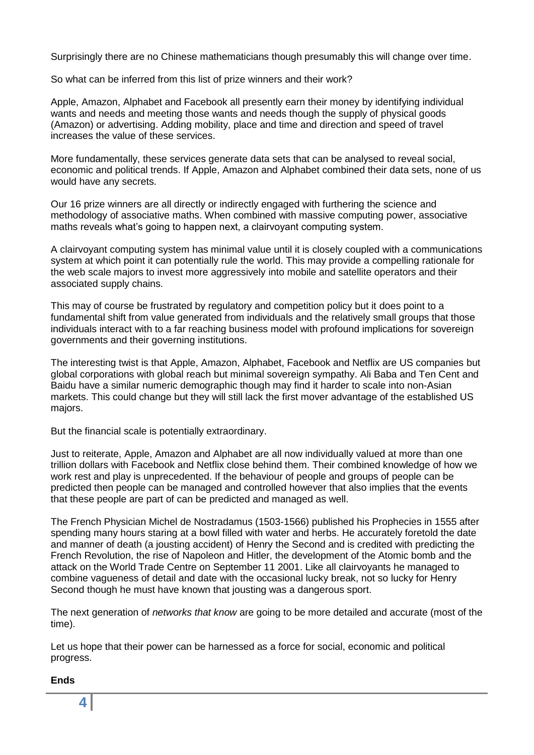Surprisingly there are no Chinese mathematicians though presumably this will change over time.

So what can be inferred from this list of prize winners and their work?

Apple, Amazon, Alphabet and Facebook all presently earn their money by identifying individual wants and needs and meeting those wants and needs though the supply of physical goods (Amazon) or advertising. Adding mobility, place and time and direction and speed of travel increases the value of these services.

More fundamentally, these services generate data sets that can be analysed to reveal social, economic and political trends. If Apple, Amazon and Alphabet combined their data sets, none of us would have any secrets.

Our 16 prize winners are all directly or indirectly engaged with furthering the science and methodology of associative maths. When combined with massive computing power, associative maths reveals what's going to happen next, a clairvoyant computing system.

A clairvoyant computing system has minimal value until it is closely coupled with a communications system at which point it can potentially rule the world. This may provide a compelling rationale for the web scale majors to invest more aggressively into mobile and satellite operators and their associated supply chains.

This may of course be frustrated by regulatory and competition policy but it does point to a fundamental shift from value generated from individuals and the relatively small groups that those individuals interact with to a far reaching business model with profound implications for sovereign governments and their governing institutions.

The interesting twist is that Apple, Amazon, Alphabet, Facebook and Netflix are US companies but global corporations with global reach but minimal sovereign sympathy. Ali Baba and Ten Cent and Baidu have a similar numeric demographic though may find it harder to scale into non-Asian markets. This could change but they will still lack the first mover advantage of the established US majors.

But the financial scale is potentially extraordinary.

Just to reiterate, Apple, Amazon and Alphabet are all now individually valued at more than one trillion dollars with Facebook and Netflix close behind them. Their combined knowledge of how we work rest and play is unprecedented. If the behaviour of people and groups of people can be predicted then people can be managed and controlled however that also implies that the events that these people are part of can be predicted and managed as well.

The French Physician Michel de Nostradamus (1503-1566) published his Prophecies in 1555 after spending many hours staring at a bowl filled with water and herbs. He accurately foretold the date and manner of death (a jousting accident) of Henry the Second and is credited with predicting the French Revolution, the rise of Napoleon and Hitler, the development of the Atomic bomb and the attack on the World Trade Centre on September 11 2001. Like all clairvoyants he managed to combine vagueness of detail and date with the occasional lucky break, not so lucky for Henry Second though he must have known that jousting was a dangerous sport.

The next generation of *networks that know* are going to be more detailed and accurate (most of the time).

Let us hope that their power can be harnessed as a force for social, economic and political progress.

#### **Ends**